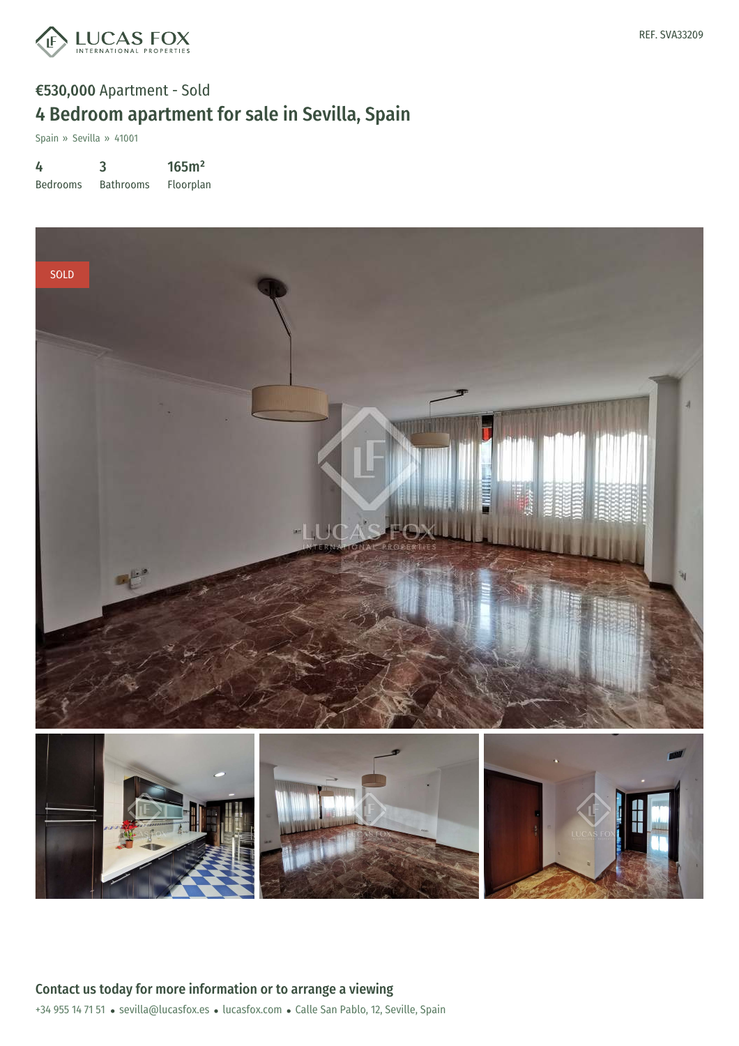

## €530,000 Apartment - Sold 4 Bedroom apartment for sale in Sevilla, Spain

Spain » Sevilla » 41001

4

Bedrooms 3 Bathrooms 165m² Floorplan

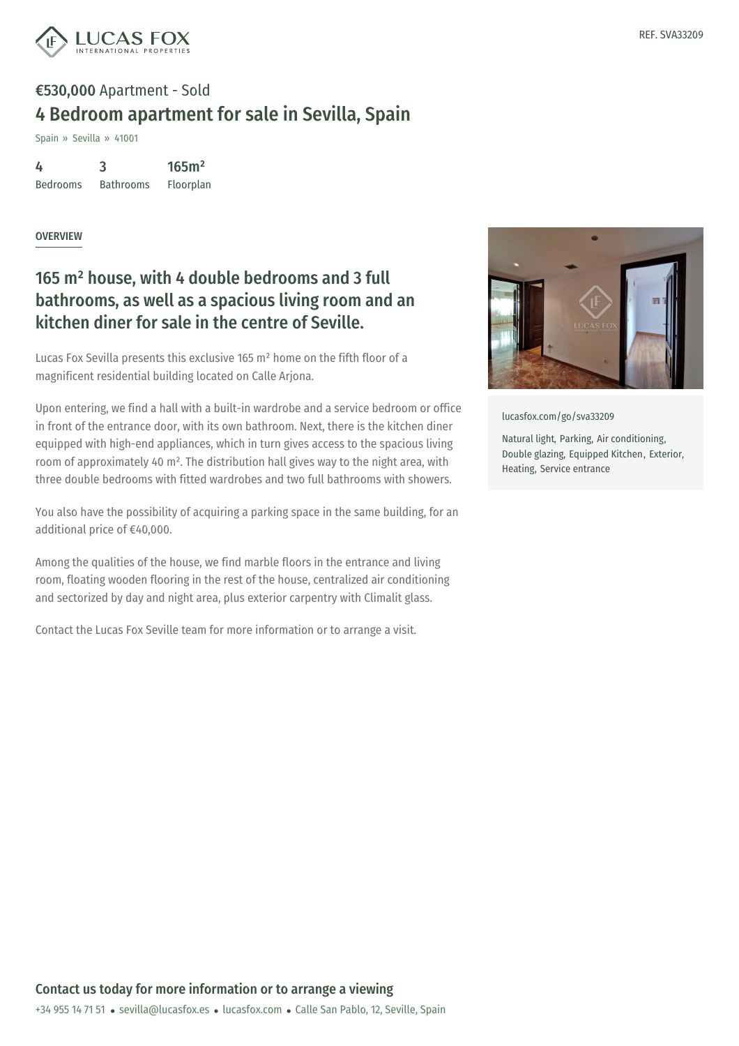

## €530,000 Apartment - Sold 4 Bedroom apartment for sale in Sevilla, Spain

Spain » Sevilla » 41001

4 Bedrooms 3 Bathrooms 165m² Floorplan

OVERVIEW

## 165 m² house, with 4 double bedrooms and 3 full bathrooms, as well as a spacious living room and an kitchen diner for sale in the centre of Seville.

Lucas Fox Sevilla presents this exclusive 165 m² home on the fifth floor of a magnificent residential building located on Calle Arjona.

Upon entering, we find a hall with a built-in wardrobe and a service bedroom or office in front of the entrance door, with its own bathroom. Next, there is the kitchen diner equipped with high-end appliances, which in turn gives access to the spacious living room of approximately 40 m². The distribution hall gives way to the night area, with three double bedrooms with fitted wardrobes and two full bathrooms with showers.

You also have the possibility of acquiring a parking space in the same building, for an additional price of €40,000.

Among the qualities of the house, we find marble floors in the entrance and living room, floating wooden flooring in the rest of the house, centralized air conditioning and sectorized by day and night area, plus exterior carpentry with Climalit glass.

Contact the Lucas Fox Seville team for more information or to arrange a visit.



Heating, Service entrance

Contact us today for more information or to arrange a viewing

+34 955 14 71 51 · sevilla@lucasfox.es · lucasfox.com · Calle San Pablo, 12, Seville, Spain